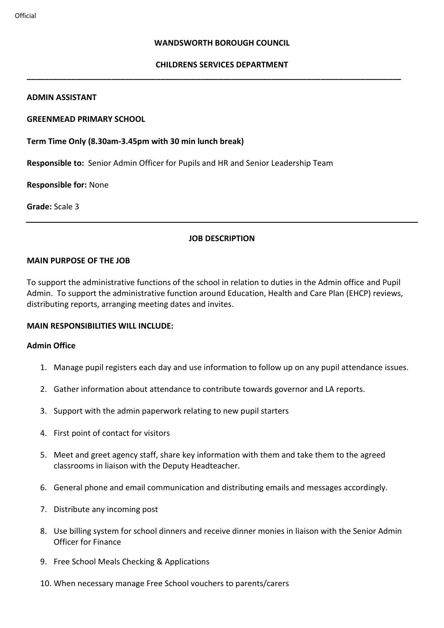# **WANDSWORTH BOROUGH COUNCIL**

# **CHILDRENS SERVICES DEPARTMENT**

**\_\_\_\_\_\_\_\_\_\_\_\_\_\_\_\_\_\_\_\_\_\_\_\_\_\_\_\_\_\_\_\_\_\_\_\_\_\_\_\_\_\_\_\_\_\_\_\_\_\_\_\_\_\_\_\_\_\_\_\_\_\_\_\_\_\_\_\_\_\_\_\_\_\_\_\_\_\_\_\_\_\_\_\_**

#### **ADMIN ASSISTANT**

# **GREENMEAD PRIMARY SCHOOL**

**Term Time Only (8.30am-3.45pm with 30 min lunch break)**

**Responsible to:** Senior Admin Officer for Pupils and HR and Senior Leadership Team

**Responsible for:** None

**Grade:** Scale 3

#### **JOB DESCRIPTION**

#### **MAIN PURPOSE OF THE JOB**

To support the administrative functions of the school in relation to duties in the Admin office and Pupil Admin. To support the administrative function around Education, Health and Care Plan (EHCP) reviews, distributing reports, arranging meeting dates and invites.

# **MAIN RESPONSIBILITIES WILL INCLUDE:**

#### **Admin Office**

- 1. Manage pupil registers each day and use information to follow up on any pupil attendance issues.
- 2. Gather information about attendance to contribute towards governor and LA reports.
- 3. Support with the admin paperwork relating to new pupil starters
- 4. First point of contact for visitors
- 5. Meet and greet agency staff, share key information with them and take them to the agreed classrooms in liaison with the Deputy Headteacher.
- 6. General phone and email communication and distributing emails and messages accordingly.
- 7. Distribute any incoming post
- 8. Use billing system for school dinners and receive dinner monies in liaison with the Senior Admin Officer for Finance
- 9. Free School Meals Checking & Applications
- 10. When necessary manage Free School vouchers to parents/carers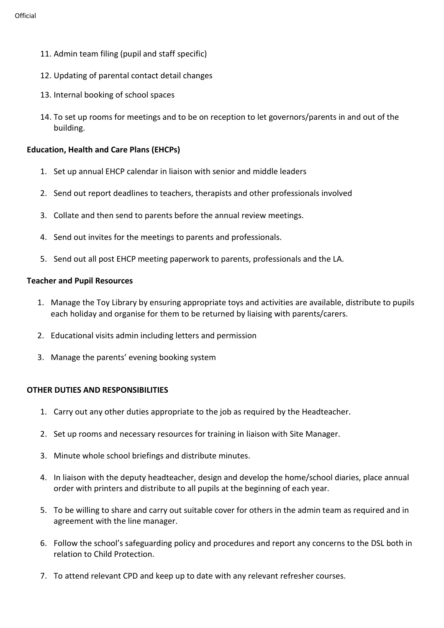- 11. Admin team filing (pupil and staff specific)
- 12. Updating of parental contact detail changes
- 13. Internal booking of school spaces
- 14. To set up rooms for meetings and to be on reception to let governors/parents in and out of the building.

# **Education, Health and Care Plans (EHCPs)**

- 1. Set up annual EHCP calendar in liaison with senior and middle leaders
- 2. Send out report deadlines to teachers, therapists and other professionals involved
- 3. Collate and then send to parents before the annual review meetings.
- 4. Send out invites for the meetings to parents and professionals.
- 5. Send out all post EHCP meeting paperwork to parents, professionals and the LA.

# **Teacher and Pupil Resources**

- 1. Manage the Toy Library by ensuring appropriate toys and activities are available, distribute to pupils each holiday and organise for them to be returned by liaising with parents/carers.
- 2. Educational visits admin including letters and permission
- 3. Manage the parents' evening booking system

# **OTHER DUTIES AND RESPONSIBILITIES**

- 1. Carry out any other duties appropriate to the job as required by the Headteacher.
- 2. Set up rooms and necessary resources for training in liaison with Site Manager.
- 3. Minute whole school briefings and distribute minutes.
- 4. In liaison with the deputy headteacher, design and develop the home/school diaries, place annual order with printers and distribute to all pupils at the beginning of each year.
- 5. To be willing to share and carry out suitable cover for others in the admin team as required and in agreement with the line manager.
- 6. Follow the school's safeguarding policy and procedures and report any concerns to the DSL both in relation to Child Protection.
- 7. To attend relevant CPD and keep up to date with any relevant refresher courses.